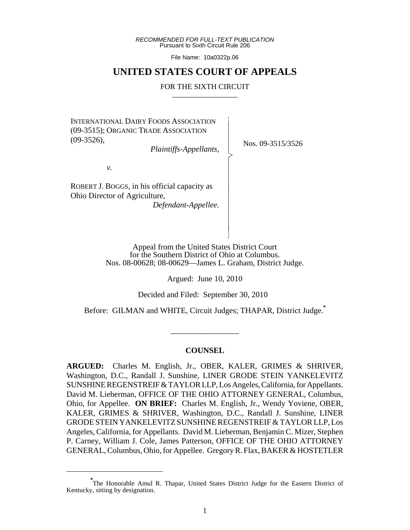*RECOMMENDED FOR FULL-TEXT PUBLICATION* Pursuant to Sixth Circuit Rule 206

File Name: 10a0322p.06

# **UNITED STATES COURT OF APPEALS**

#### FOR THE SIXTH CIRCUIT

 $\overline{\phantom{a}}$ - - - > , - - - - - - - - - N

INTERNATIONAL DAIRY FOODS ASSOCIATION (09-3515); ORGANIC TRADE ASSOCIATION (09-3526),

*Plaintiffs-Appellants,*

Nos. 09-3515/3526

*v.*

ROBERT J. BOGGS, in his official capacity as Ohio Director of Agriculture,

*Defendant-Appellee.*

Appeal from the United States District Court for the Southern District of Ohio at Columbus. Nos. 08-00628; 08-00629—James L. Graham, District Judge.

Argued: June 10, 2010

Decided and Filed: September 30, 2010

Before: GILMAN and WHITE, Circuit Judges; THAPAR, District Judge.**\***

#### **COUNSEL**

\_\_\_\_\_\_\_\_\_\_\_\_\_\_\_\_\_

**ARGUED:** Charles M. English, Jr., OBER, KALER, GRIMES & SHRIVER, Washington, D.C., Randall J. Sunshine, LINER GRODE STEIN YANKELEVITZ SUNSHINE REGENSTREIF & TAYLOR LLP, Los Angeles, California, for Appellants. David M. Lieberman, OFFICE OF THE OHIO ATTORNEY GENERAL, Columbus, Ohio, for Appellee. **ON BRIEF:** Charles M. English, Jr., Wendy Yoviene, OBER, KALER, GRIMES & SHRIVER, Washington, D.C., Randall J. Sunshine, LINER GRODE STEIN YANKELEVITZ SUNSHINE REGENSTREIF & TAYLOR LLP, Los Angeles, California, for Appellants. David M. Lieberman, Benjamin C. Mizer, Stephen P. Carney, William J. Cole, James Patterson, OFFICE OF THE OHIO ATTORNEY GENERAL, Columbus, Ohio, for Appellee. Gregory R. Flax, BAKER & HOSTETLER

**<sup>\*</sup>** The Honorable Amul R. Thapar, United States District Judge for the Eastern District of Kentucky, sitting by designation.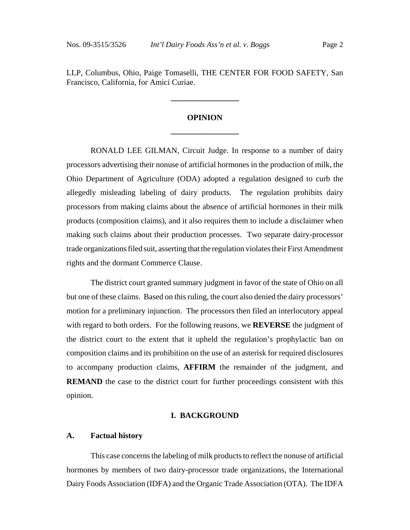LLP, Columbus, Ohio, Paige Tomaselli, THE CENTER FOR FOOD SAFETY, San Francisco, California, for Amici Curiae.

# **OPINION \_\_\_\_\_\_\_\_\_\_\_\_\_\_\_\_\_**

**\_\_\_\_\_\_\_\_\_\_\_\_\_\_\_\_\_**

RONALD LEE GILMAN, Circuit Judge. In response to a number of dairy processors advertising their nonuse of artificial hormones in the production of milk, the Ohio Department of Agriculture (ODA) adopted a regulation designed to curb the allegedly misleading labeling of dairy products. The regulation prohibits dairy processors from making claims about the absence of artificial hormones in their milk products (composition claims), and it also requires them to include a disclaimer when making such claims about their production processes. Two separate dairy-processor trade organizations filed suit, asserting that the regulation violates their First Amendment rights and the dormant Commerce Clause.

The district court granted summary judgment in favor of the state of Ohio on all but one of these claims. Based on this ruling, the court also denied the dairy processors' motion for a preliminary injunction. The processors then filed an interlocutory appeal with regard to both orders. For the following reasons, we **REVERSE** the judgment of the district court to the extent that it upheld the regulation's prophylactic ban on composition claims and its prohibition on the use of an asterisk for required disclosures to accompany production claims, **AFFIRM** the remainder of the judgment, and **REMAND** the case to the district court for further proceedings consistent with this opinion.

#### **I. BACKGROUND**

#### **A. Factual history**

This case concerns the labeling of milk products to reflect the nonuse of artificial hormones by members of two dairy-processor trade organizations, the International Dairy Foods Association (IDFA) and the Organic Trade Association (OTA). The IDFA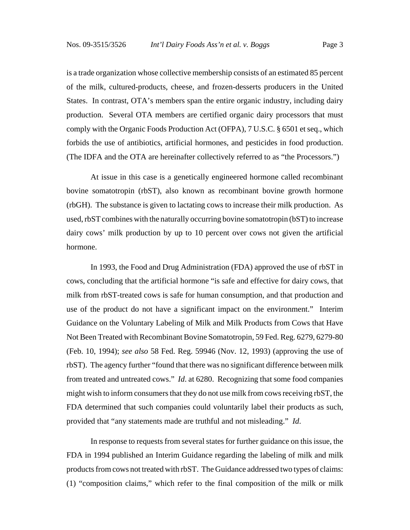is a trade organization whose collective membership consists of an estimated 85 percent of the milk, cultured-products, cheese, and frozen-desserts producers in the United States. In contrast, OTA's members span the entire organic industry, including dairy production. Several OTA members are certified organic dairy processors that must comply with the Organic Foods Production Act (OFPA), 7 U.S.C. § 6501 et seq., which forbids the use of antibiotics, artificial hormones, and pesticides in food production. (The IDFA and the OTA are hereinafter collectively referred to as "the Processors.")

At issue in this case is a genetically engineered hormone called recombinant bovine somatotropin (rbST), also known as recombinant bovine growth hormone (rbGH). The substance is given to lactating cows to increase their milk production. As used, rbST combines with the naturally occurring bovine somatotropin (bST) to increase dairy cows' milk production by up to 10 percent over cows not given the artificial hormone.

In 1993, the Food and Drug Administration (FDA) approved the use of rbST in cows, concluding that the artificial hormone "is safe and effective for dairy cows, that milk from rbST-treated cows is safe for human consumption, and that production and use of the product do not have a significant impact on the environment." Interim Guidance on the Voluntary Labeling of Milk and Milk Products from Cows that Have Not Been Treated with Recombinant Bovine Somatotropin, 59 Fed. Reg. 6279, 6279-80 (Feb. 10, 1994); *see also* 58 Fed. Reg. 59946 (Nov. 12, 1993) (approving the use of rbST). The agency further "found that there was no significant difference between milk from treated and untreated cows." *Id*. at 6280. Recognizing that some food companies might wish to inform consumers that they do not use milk from cows receiving rbST, the FDA determined that such companies could voluntarily label their products as such, provided that "any statements made are truthful and not misleading." *Id*.

In response to requests from several states for further guidance on this issue, the FDA in 1994 published an Interim Guidance regarding the labeling of milk and milk products from cows not treated with rbST. The Guidance addressed two types of claims: (1) "composition claims," which refer to the final composition of the milk or milk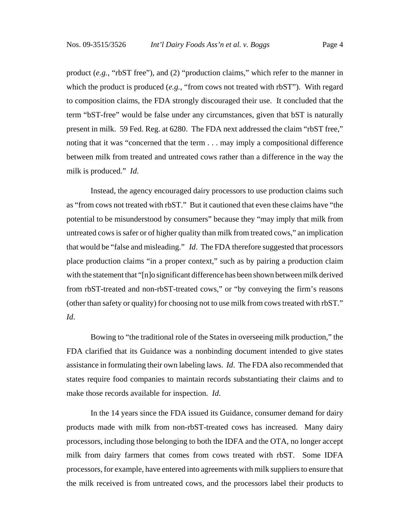product (*e.g.*, "rbST free"), and (2) "production claims," which refer to the manner in which the product is produced (*e.g.*, "from cows not treated with rbST"). With regard to composition claims, the FDA strongly discouraged their use. It concluded that the term "bST-free" would be false under any circumstances, given that bST is naturally present in milk. 59 Fed. Reg. at 6280. The FDA next addressed the claim "rbST free," noting that it was "concerned that the term . . . may imply a compositional difference between milk from treated and untreated cows rather than a difference in the way the milk is produced." *Id*.

Instead, the agency encouraged dairy processors to use production claims such as "from cows not treated with rbST." But it cautioned that even these claims have "the potential to be misunderstood by consumers" because they "may imply that milk from untreated cows is safer or of higher quality than milk from treated cows," an implication that would be "false and misleading." *Id*. The FDA therefore suggested that processors place production claims "in a proper context," such as by pairing a production claim with the statement that "[n]o significant difference has been shown between milk derived from rbST-treated and non-rbST-treated cows," or "by conveying the firm's reasons (other than safety or quality) for choosing not to use milk from cows treated with rbST." *Id*.

Bowing to "the traditional role of the States in overseeing milk production," the FDA clarified that its Guidance was a nonbinding document intended to give states assistance in formulating their own labeling laws. *Id*. The FDA also recommended that states require food companies to maintain records substantiating their claims and to make those records available for inspection. *Id*.

In the 14 years since the FDA issued its Guidance, consumer demand for dairy products made with milk from non-rbST-treated cows has increased. Many dairy processors, including those belonging to both the IDFA and the OTA, no longer accept milk from dairy farmers that comes from cows treated with rbST. Some IDFA processors, for example, have entered into agreements with milk suppliers to ensure that the milk received is from untreated cows, and the processors label their products to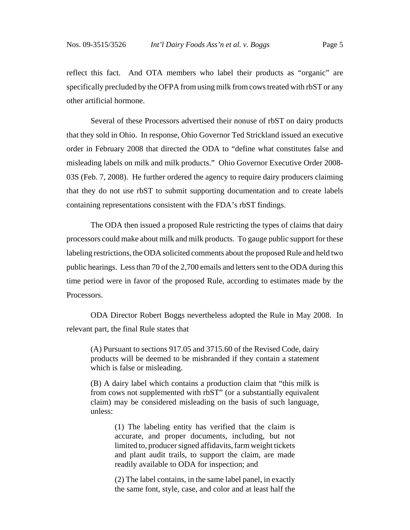reflect this fact. And OTA members who label their products as "organic" are specifically precluded by the OFPA from using milk from cows treated with rbST or any other artificial hormone.

Several of these Processors advertised their nonuse of rbST on dairy products that they sold in Ohio. In response, Ohio Governor Ted Strickland issued an executive order in February 2008 that directed the ODA to "define what constitutes false and misleading labels on milk and milk products." Ohio Governor Executive Order 2008- 03S (Feb. 7, 2008). He further ordered the agency to require dairy producers claiming that they do not use rbST to submit supporting documentation and to create labels containing representations consistent with the FDA's rbST findings.

The ODA then issued a proposed Rule restricting the types of claims that dairy processors could make about milk and milk products. To gauge public support for these labeling restrictions, the ODA solicited comments about the proposed Rule and held two public hearings. Less than 70 of the 2,700 emails and letters sent to the ODA during this time period were in favor of the proposed Rule, according to estimates made by the Processors.

ODA Director Robert Boggs nevertheless adopted the Rule in May 2008. In relevant part, the final Rule states that

(A) Pursuant to sections 917.05 and 3715.60 of the Revised Code, dairy products will be deemed to be misbranded if they contain a statement which is false or misleading.

(B) A dairy label which contains a production claim that "this milk is from cows not supplemented with rbST" (or a substantially equivalent claim) may be considered misleading on the basis of such language, unless:

> (1) The labeling entity has verified that the claim is accurate, and proper documents, including, but not limited to, producer signed affidavits, farm weight tickets and plant audit trails, to support the claim, are made readily available to ODA for inspection; and

> (2) The label contains, in the same label panel, in exactly the same font, style, case, and color and at least half the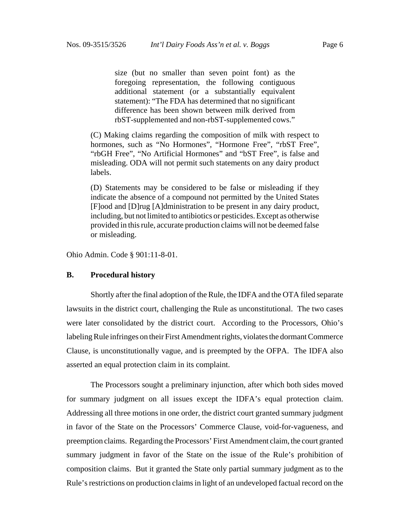size (but no smaller than seven point font) as the foregoing representation, the following contiguous additional statement (or a substantially equivalent statement): "The FDA has determined that no significant difference has been shown between milk derived from rbST-supplemented and non-rbST-supplemented cows."

(C) Making claims regarding the composition of milk with respect to hormones, such as "No Hormones", "Hormone Free", "rbST Free", "rbGH Free", "No Artificial Hormones" and "bST Free", is false and misleading. ODA will not permit such statements on any dairy product labels.

(D) Statements may be considered to be false or misleading if they indicate the absence of a compound not permitted by the United States [F]ood and [D]rug [A]dministration to be present in any dairy product, including, but not limited to antibiotics or pesticides. Except as otherwise provided in this rule, accurate production claims will not be deemed false or misleading.

Ohio Admin. Code § 901:11-8-01.

#### **B. Procedural history**

Shortly after the final adoption of the Rule, the IDFA and the OTA filed separate lawsuits in the district court, challenging the Rule as unconstitutional. The two cases were later consolidated by the district court. According to the Processors, Ohio's labeling Rule infringes on their First Amendment rights, violates the dormant Commerce Clause, is unconstitutionally vague, and is preempted by the OFPA. The IDFA also asserted an equal protection claim in its complaint.

The Processors sought a preliminary injunction, after which both sides moved for summary judgment on all issues except the IDFA's equal protection claim. Addressing all three motions in one order, the district court granted summary judgment in favor of the State on the Processors' Commerce Clause, void-for-vagueness, and preemption claims. Regarding the Processors' First Amendment claim, the court granted summary judgment in favor of the State on the issue of the Rule's prohibition of composition claims. But it granted the State only partial summary judgment as to the Rule's restrictions on production claims in light of an undeveloped factual record on the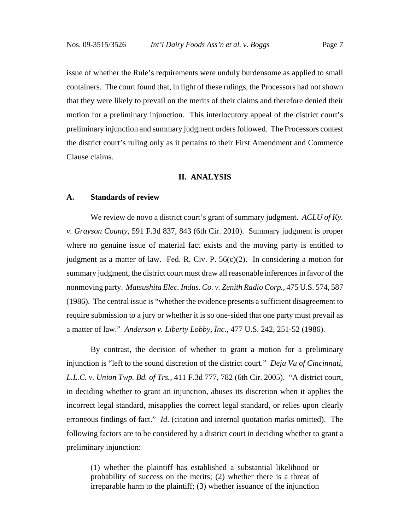issue of whether the Rule's requirements were unduly burdensome as applied to small containers. The court found that, in light of these rulings, the Processors had not shown that they were likely to prevail on the merits of their claims and therefore denied their motion for a preliminary injunction. This interlocutory appeal of the district court's preliminary injunction and summary judgment orders followed. The Processors contest the district court's ruling only as it pertains to their First Amendment and Commerce Clause claims.

#### **II. ANALYSIS**

#### **A. Standards of review**

We review de novo a district court's grant of summary judgment. *ACLU of Ky. v. Grayson County*, 591 F.3d 837, 843 (6th Cir. 2010). Summary judgment is proper where no genuine issue of material fact exists and the moving party is entitled to judgment as a matter of law. Fed. R. Civ. P.  $56(c)(2)$ . In considering a motion for summary judgment, the district court must draw all reasonable inferences in favor of the nonmoving party. *Matsushita Elec. Indus. Co. v. Zenith Radio Corp.*, 475 U.S. 574, 587 (1986). The central issue is "whether the evidence presents a sufficient disagreement to require submission to a jury or whether it is so one-sided that one party must prevail as a matter of law." *Anderson v. Liberty Lobby, Inc.*, 477 U.S. 242, 251-52 (1986).

By contrast, the decision of whether to grant a motion for a preliminary injunction is "left to the sound discretion of the district court." *Deja Vu of Cincinnati, L.L.C. v. Union Twp. Bd. of Trs.*, 411 F.3d 777, 782 (6th Cir. 2005). "A district court, in deciding whether to grant an injunction, abuses its discretion when it applies the incorrect legal standard, misapplies the correct legal standard, or relies upon clearly erroneous findings of fact." *Id*. (citation and internal quotation marks omitted). The following factors are to be considered by a district court in deciding whether to grant a preliminary injunction:

(1) whether the plaintiff has established a substantial likelihood or probability of success on the merits; (2) whether there is a threat of irreparable harm to the plaintiff; (3) whether issuance of the injunction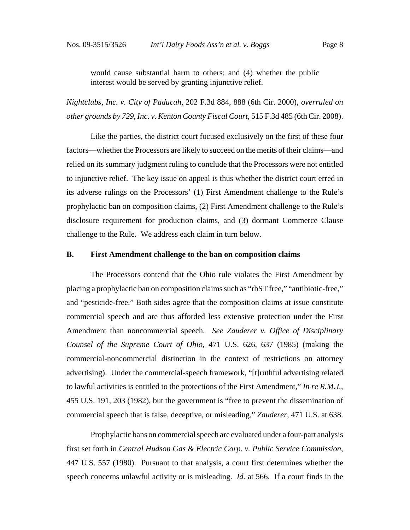would cause substantial harm to others; and (4) whether the public interest would be served by granting injunctive relief.

*Nightclubs, Inc. v. City of Paducah*, 202 F.3d 884, 888 (6th Cir. 2000), *overruled on other grounds by 729, Inc. v. Kenton County Fiscal Court*, 515 F.3d 485 (6th Cir. 2008).

Like the parties, the district court focused exclusively on the first of these four factors—whether the Processors are likely to succeed on the merits of their claims—and relied on its summary judgment ruling to conclude that the Processors were not entitled to injunctive relief. The key issue on appeal is thus whether the district court erred in its adverse rulings on the Processors' (1) First Amendment challenge to the Rule's prophylactic ban on composition claims, (2) First Amendment challenge to the Rule's disclosure requirement for production claims, and (3) dormant Commerce Clause challenge to the Rule. We address each claim in turn below.

### **B. First Amendment challenge to the ban on composition claims**

The Processors contend that the Ohio rule violates the First Amendment by placing a prophylactic ban on composition claims such as "rbST free," "antibiotic-free," and "pesticide-free." Both sides agree that the composition claims at issue constitute commercial speech and are thus afforded less extensive protection under the First Amendment than noncommercial speech. *See Zauderer v. Office of Disciplinary Counsel of the Supreme Court of Ohio*, 471 U.S. 626, 637 (1985) (making the commercial-noncommercial distinction in the context of restrictions on attorney advertising). Under the commercial-speech framework, "[t]ruthful advertising related to lawful activities is entitled to the protections of the First Amendment," *In re R.M.J.*, 455 U.S. 191, 203 (1982), but the government is "free to prevent the dissemination of commercial speech that is false, deceptive, or misleading," *Zauderer*, 471 U.S. at 638.

Prophylactic bans on commercial speech are evaluated under a four-part analysis first set forth in *Central Hudson Gas & Electric Corp. v. Public Service Commission*, 447 U.S. 557 (1980). Pursuant to that analysis, a court first determines whether the speech concerns unlawful activity or is misleading. *Id.* at 566. If a court finds in the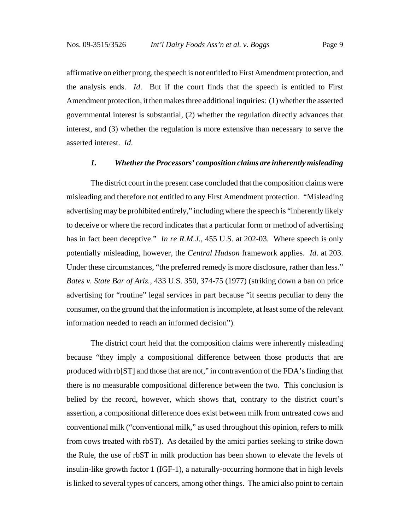affirmative on either prong, the speech is not entitled to First Amendment protection, and the analysis ends. *Id*. But if the court finds that the speech is entitled to First Amendment protection, it then makes three additional inquiries: (1) whether the asserted governmental interest is substantial, (2) whether the regulation directly advances that interest, and (3) whether the regulation is more extensive than necessary to serve the asserted interest. *Id*.

#### *1. Whether the Processors' composition claims are inherently misleading*

The district court in the present case concluded that the composition claims were misleading and therefore not entitled to any First Amendment protection. "Misleading advertising may be prohibited entirely," including where the speech is "inherently likely to deceive or where the record indicates that a particular form or method of advertising has in fact been deceptive." *In re R.M.J.*, 455 U.S. at 202-03. Where speech is only potentially misleading, however, the *Central Hudson* framework applies. *Id*. at 203. Under these circumstances, "the preferred remedy is more disclosure, rather than less." *Bates v. State Bar of Ariz.*, 433 U.S. 350, 374-75 (1977) (striking down a ban on price advertising for "routine" legal services in part because "it seems peculiar to deny the consumer, on the ground that the information is incomplete, at least some of the relevant information needed to reach an informed decision").

The district court held that the composition claims were inherently misleading because "they imply a compositional difference between those products that are produced with rb[ST] and those that are not," in contravention of the FDA's finding that there is no measurable compositional difference between the two. This conclusion is belied by the record, however, which shows that, contrary to the district court's assertion, a compositional difference does exist between milk from untreated cows and conventional milk ("conventional milk," as used throughout this opinion, refers to milk from cows treated with rbST). As detailed by the amici parties seeking to strike down the Rule, the use of rbST in milk production has been shown to elevate the levels of insulin-like growth factor 1 (IGF-1), a naturally-occurring hormone that in high levels is linked to several types of cancers, among other things. The amici also point to certain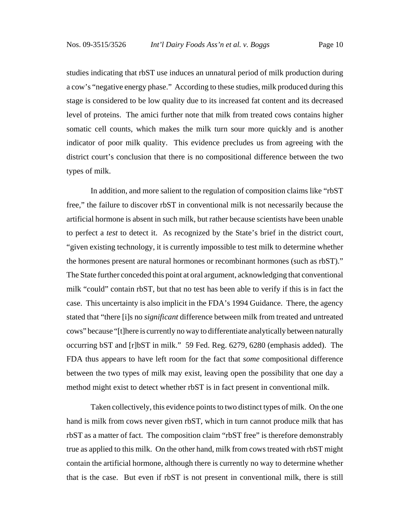studies indicating that rbST use induces an unnatural period of milk production during a cow's "negative energy phase." According to these studies, milk produced during this stage is considered to be low quality due to its increased fat content and its decreased level of proteins. The amici further note that milk from treated cows contains higher somatic cell counts, which makes the milk turn sour more quickly and is another indicator of poor milk quality. This evidence precludes us from agreeing with the district court's conclusion that there is no compositional difference between the two types of milk.

In addition, and more salient to the regulation of composition claims like "rbST free," the failure to discover rbST in conventional milk is not necessarily because the artificial hormone is absent in such milk, but rather because scientists have been unable to perfect a *test* to detect it. As recognized by the State's brief in the district court, "given existing technology, it is currently impossible to test milk to determine whether the hormones present are natural hormones or recombinant hormones (such as rbST)." The State further conceded this point at oral argument, acknowledging that conventional milk "could" contain rbST, but that no test has been able to verify if this is in fact the case. This uncertainty is also implicit in the FDA's 1994 Guidance. There, the agency stated that "there [i]s no *significant* difference between milk from treated and untreated cows" because "[t]here is currently no way to differentiate analytically between naturally occurring bST and [r]bST in milk." 59 Fed. Reg. 6279, 6280 (emphasis added). The FDA thus appears to have left room for the fact that *some* compositional difference between the two types of milk may exist, leaving open the possibility that one day a method might exist to detect whether rbST is in fact present in conventional milk.

Taken collectively, this evidence points to two distinct types of milk. On the one hand is milk from cows never given rbST, which in turn cannot produce milk that has rbST as a matter of fact. The composition claim "rbST free" is therefore demonstrably true as applied to this milk. On the other hand, milk from cows treated with rbST might contain the artificial hormone, although there is currently no way to determine whether that is the case. But even if rbST is not present in conventional milk, there is still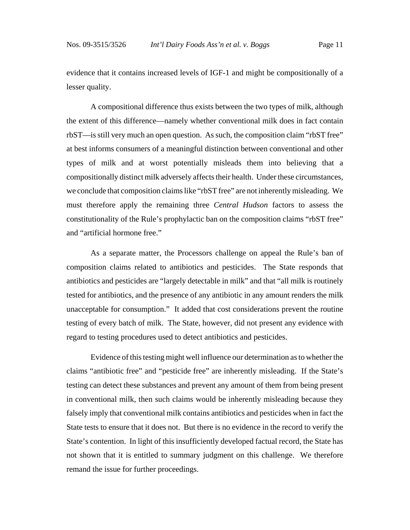evidence that it contains increased levels of IGF-1 and might be compositionally of a lesser quality.

A compositional difference thus exists between the two types of milk, although the extent of this difference—namely whether conventional milk does in fact contain rbST—is still very much an open question. As such, the composition claim "rbST free" at best informs consumers of a meaningful distinction between conventional and other types of milk and at worst potentially misleads them into believing that a compositionally distinct milk adversely affects their health. Under these circumstances, we conclude that composition claims like "rbST free" are not inherently misleading. We must therefore apply the remaining three *Central Hudson* factors to assess the constitutionality of the Rule's prophylactic ban on the composition claims "rbST free" and "artificial hormone free."

As a separate matter, the Processors challenge on appeal the Rule's ban of composition claims related to antibiotics and pesticides. The State responds that antibiotics and pesticides are "largely detectable in milk" and that "all milk is routinely tested for antibiotics, and the presence of any antibiotic in any amount renders the milk unacceptable for consumption." It added that cost considerations prevent the routine testing of every batch of milk. The State, however, did not present any evidence with regard to testing procedures used to detect antibiotics and pesticides.

Evidence of this testing might well influence our determination as to whether the claims "antibiotic free" and "pesticide free" are inherently misleading. If the State's testing can detect these substances and prevent any amount of them from being present in conventional milk, then such claims would be inherently misleading because they falsely imply that conventional milk contains antibiotics and pesticides when in fact the State tests to ensure that it does not. But there is no evidence in the record to verify the State's contention. In light of this insufficiently developed factual record, the State has not shown that it is entitled to summary judgment on this challenge. We therefore remand the issue for further proceedings.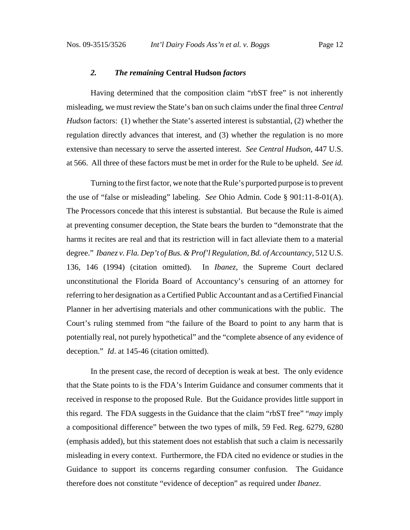#### *2. The remaining* **Central Hudson** *factors*

Having determined that the composition claim "rbST free" is not inherently misleading, we must review the State's ban on such claims under the final three *Central Hudson* factors: (1) whether the State's asserted interest is substantial, (2) whether the regulation directly advances that interest, and (3) whether the regulation is no more extensive than necessary to serve the asserted interest. *See Central Hudson*, 447 U.S. at 566. All three of these factors must be met in order for the Rule to be upheld. *See id.*

Turning to the first factor, we note that the Rule's purported purpose is to prevent the use of "false or misleading" labeling. *See* Ohio Admin. Code § 901:11-8-01(A). The Processors concede that this interest is substantial. But because the Rule is aimed at preventing consumer deception, the State bears the burden to "demonstrate that the harms it recites are real and that its restriction will in fact alleviate them to a material degree." *Ibanez v. Fla. Dep't of Bus. & Prof'l Regulation, Bd. of Accountancy*, 512 U.S. 136, 146 (1994) (citation omitted). In *Ibanez*, the Supreme Court declared unconstitutional the Florida Board of Accountancy's censuring of an attorney for referring to her designation as a Certified Public Accountant and as a Certified Financial Planner in her advertising materials and other communications with the public. The Court's ruling stemmed from "the failure of the Board to point to any harm that is potentially real, not purely hypothetical" and the "complete absence of any evidence of deception." *Id*. at 145-46 (citation omitted).

In the present case, the record of deception is weak at best. The only evidence that the State points to is the FDA's Interim Guidance and consumer comments that it received in response to the proposed Rule. But the Guidance provides little support in this regard. The FDA suggests in the Guidance that the claim "rbST free" "*may* imply a compositional difference" between the two types of milk, 59 Fed. Reg. 6279, 6280 (emphasis added), but this statement does not establish that such a claim is necessarily misleading in every context. Furthermore, the FDA cited no evidence or studies in the Guidance to support its concerns regarding consumer confusion. The Guidance therefore does not constitute "evidence of deception" as required under *Ibanez*.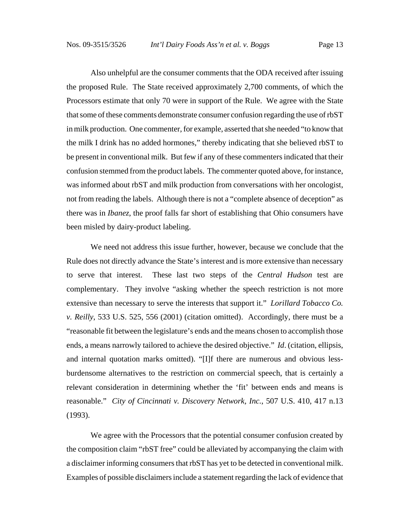Also unhelpful are the consumer comments that the ODA received after issuing the proposed Rule. The State received approximately 2,700 comments, of which the Processors estimate that only 70 were in support of the Rule. We agree with the State that some of these comments demonstrate consumer confusion regarding the use of rbST in milk production. One commenter, for example, asserted that she needed "to know that the milk I drink has no added hormones," thereby indicating that she believed rbST to be present in conventional milk. But few if any of these commenters indicated that their confusion stemmed from the product labels. The commenter quoted above, for instance, was informed about rbST and milk production from conversations with her oncologist, not from reading the labels. Although there is not a "complete absence of deception" as there was in *Ibanez*, the proof falls far short of establishing that Ohio consumers have been misled by dairy-product labeling.

We need not address this issue further, however, because we conclude that the Rule does not directly advance the State's interest and is more extensive than necessary to serve that interest. These last two steps of the *Central Hudson* test are complementary. They involve "asking whether the speech restriction is not more extensive than necessary to serve the interests that support it." *Lorillard Tobacco Co. v. Reilly*, 533 U.S. 525, 556 (2001) (citation omitted). Accordingly, there must be a "reasonable fit between the legislature's ends and the means chosen to accomplish those ends, a means narrowly tailored to achieve the desired objective." *Id*. (citation, ellipsis, and internal quotation marks omitted). "[I]f there are numerous and obvious lessburdensome alternatives to the restriction on commercial speech, that is certainly a relevant consideration in determining whether the 'fit' between ends and means is reasonable." *City of Cincinnati v. Discovery Network, Inc.*, 507 U.S. 410, 417 n.13 (1993).

We agree with the Processors that the potential consumer confusion created by the composition claim "rbST free" could be alleviated by accompanying the claim with a disclaimer informing consumers that rbST has yet to be detected in conventional milk. Examples of possible disclaimers include a statement regarding the lack of evidence that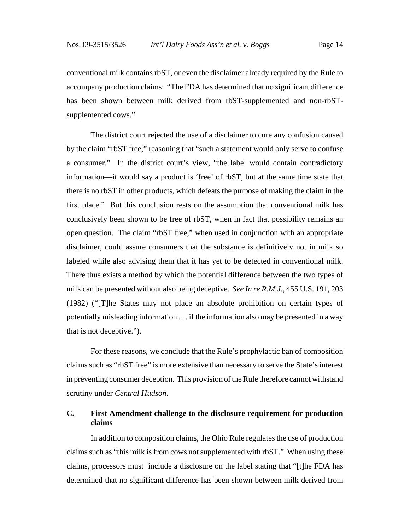conventional milk contains rbST, or even the disclaimer already required by the Rule to accompany production claims: "The FDA has determined that no significant difference has been shown between milk derived from rbST-supplemented and non-rbSTsupplemented cows."

The district court rejected the use of a disclaimer to cure any confusion caused by the claim "rbST free," reasoning that "such a statement would only serve to confuse a consumer." In the district court's view, "the label would contain contradictory information—it would say a product is 'free' of rbST, but at the same time state that there is no rbST in other products, which defeats the purpose of making the claim in the first place." But this conclusion rests on the assumption that conventional milk has conclusively been shown to be free of rbST, when in fact that possibility remains an open question. The claim "rbST free," when used in conjunction with an appropriate disclaimer, could assure consumers that the substance is definitively not in milk so labeled while also advising them that it has yet to be detected in conventional milk. There thus exists a method by which the potential difference between the two types of milk can be presented without also being deceptive. *See In re R.M.J.*, 455 U.S. 191, 203 (1982) ("[T]he States may not place an absolute prohibition on certain types of potentially misleading information . . . if the information also may be presented in a way that is not deceptive.").

For these reasons, we conclude that the Rule's prophylactic ban of composition claims such as "rbST free" is more extensive than necessary to serve the State's interest in preventing consumer deception. This provision of the Rule therefore cannot withstand scrutiny under *Central Hudson*.

## **C. First Amendment challenge to the disclosure requirement for production claims**

In addition to composition claims, the Ohio Rule regulates the use of production claims such as "this milk is from cows not supplemented with rbST." When using these claims, processors must include a disclosure on the label stating that "[t]he FDA has determined that no significant difference has been shown between milk derived from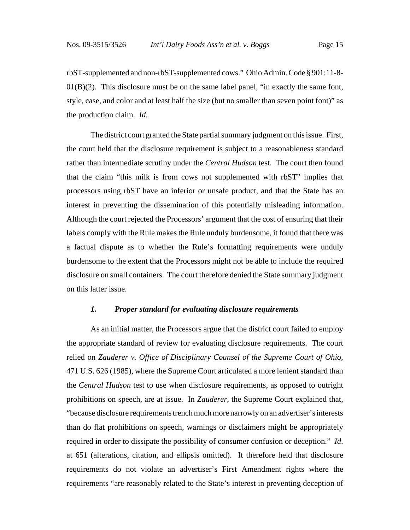rbST-supplemented and non-rbST-supplemented cows." Ohio Admin. Code § 901:11-8-  $01(B)(2)$ . This disclosure must be on the same label panel, "in exactly the same font, style, case, and color and at least half the size (but no smaller than seven point font)" as the production claim. *Id*.

The district court granted the State partial summary judgment on this issue. First, the court held that the disclosure requirement is subject to a reasonableness standard rather than intermediate scrutiny under the *Central Hudson* test. The court then found that the claim "this milk is from cows not supplemented with rbST" implies that processors using rbST have an inferior or unsafe product, and that the State has an interest in preventing the dissemination of this potentially misleading information. Although the court rejected the Processors' argument that the cost of ensuring that their labels comply with the Rule makes the Rule unduly burdensome, it found that there was a factual dispute as to whether the Rule's formatting requirements were unduly burdensome to the extent that the Processors might not be able to include the required disclosure on small containers. The court therefore denied the State summary judgment on this latter issue.

#### *1. Proper standard for evaluating disclosure requirements*

As an initial matter, the Processors argue that the district court failed to employ the appropriate standard of review for evaluating disclosure requirements. The court relied on *Zauderer v. Office of Disciplinary Counsel of the Supreme Court of Ohio*, 471 U.S. 626 (1985), where the Supreme Court articulated a more lenient standard than the *Central Hudson* test to use when disclosure requirements, as opposed to outright prohibitions on speech, are at issue. In *Zauderer*, the Supreme Court explained that, "because disclosure requirements trench much more narrowly on an advertiser's interests than do flat prohibitions on speech, warnings or disclaimers might be appropriately required in order to dissipate the possibility of consumer confusion or deception." *Id*. at 651 (alterations, citation, and ellipsis omitted). It therefore held that disclosure requirements do not violate an advertiser's First Amendment rights where the requirements "are reasonably related to the State's interest in preventing deception of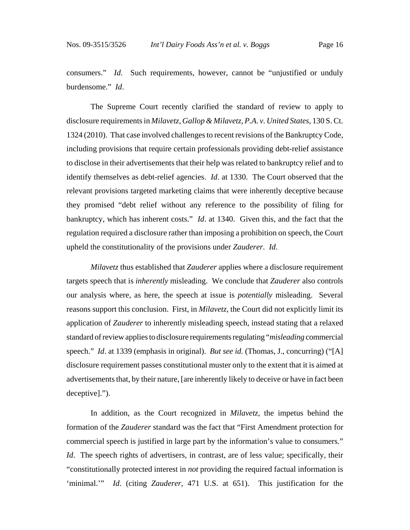consumers." *Id*. Such requirements, however, cannot be "unjustified or unduly burdensome." *Id*.

The Supreme Court recently clarified the standard of review to apply to disclosure requirements in *Milavetz, Gallop & Milavetz, P.A. v. United States*, 130 S. Ct. 1324 (2010). That case involved challenges to recent revisions of the Bankruptcy Code, including provisions that require certain professionals providing debt-relief assistance to disclose in their advertisements that their help was related to bankruptcy relief and to identify themselves as debt-relief agencies. *Id*. at 1330. The Court observed that the relevant provisions targeted marketing claims that were inherently deceptive because they promised "debt relief without any reference to the possibility of filing for bankruptcy, which has inherent costs." *Id*. at 1340. Given this, and the fact that the regulation required a disclosure rather than imposing a prohibition on speech, the Court upheld the constitutionality of the provisions under *Zauderer*. *Id*.

*Milavetz* thus established that *Zauderer* applies where a disclosure requirement targets speech that is *inherently* misleading. We conclude that *Zauderer* also controls our analysis where, as here, the speech at issue is *potentially* misleading. Several reasons support this conclusion. First, in *Milavetz*, the Court did not explicitly limit its application of *Zauderer* to inherently misleading speech, instead stating that a relaxed standard of review applies to disclosure requirements regulating "*misleading* commercial speech." *Id*. at 1339 (emphasis in original). *But see id.* (Thomas, J., concurring) ("[A] disclosure requirement passes constitutional muster only to the extent that it is aimed at advertisements that, by their nature, [are inherently likely to deceive or have in fact been deceptive].").

In addition, as the Court recognized in *Milavetz*, the impetus behind the formation of the *Zauderer* standard was the fact that "First Amendment protection for commercial speech is justified in large part by the information's value to consumers." *Id*. The speech rights of advertisers, in contrast, are of less value; specifically, their "constitutionally protected interest in *not* providing the required factual information is 'minimal.'" *Id*. (citing *Zauderer*, 471 U.S. at 651). This justification for the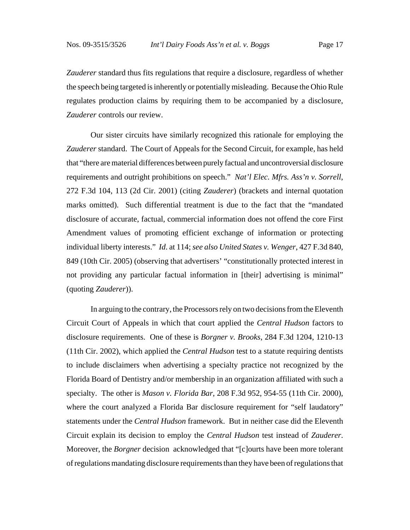*Zauderer* standard thus fits regulations that require a disclosure, regardless of whether the speech being targeted is inherently or potentially misleading. Because the Ohio Rule regulates production claims by requiring them to be accompanied by a disclosure, *Zauderer* controls our review.

Our sister circuits have similarly recognized this rationale for employing the *Zauderer* standard. The Court of Appeals for the Second Circuit, for example, has held that "there are material differences between purely factual and uncontroversial disclosure requirements and outright prohibitions on speech." *Nat'l Elec. Mfrs. Ass'n v. Sorrell*, 272 F.3d 104, 113 (2d Cir. 2001) (citing *Zauderer*) (brackets and internal quotation marks omitted). Such differential treatment is due to the fact that the "mandated disclosure of accurate, factual, commercial information does not offend the core First Amendment values of promoting efficient exchange of information or protecting individual liberty interests." *Id*. at 114; *see also United States v. Wenger*, 427 F.3d 840, 849 (10th Cir. 2005) (observing that advertisers' "constitutionally protected interest in not providing any particular factual information in [their] advertising is minimal" (quoting *Zauderer*)).

In arguing to the contrary, the Processors rely on two decisions from the Eleventh Circuit Court of Appeals in which that court applied the *Central Hudson* factors to disclosure requirements. One of these is *Borgner v. Brooks*, 284 F.3d 1204, 1210-13 (11th Cir. 2002), which applied the *Central Hudson* test to a statute requiring dentists to include disclaimers when advertising a specialty practice not recognized by the Florida Board of Dentistry and/or membership in an organization affiliated with such a specialty. The other is *Mason v. Florida Bar*, 208 F.3d 952, 954-55 (11th Cir. 2000), where the court analyzed a Florida Bar disclosure requirement for "self laudatory" statements under the *Central Hudson* framework. But in neither case did the Eleventh Circuit explain its decision to employ the *Central Hudson* test instead of *Zauderer*. Moreover, the *Borgner* decision acknowledged that "[c]ourts have been more tolerant of regulations mandating disclosure requirements than they have been of regulations that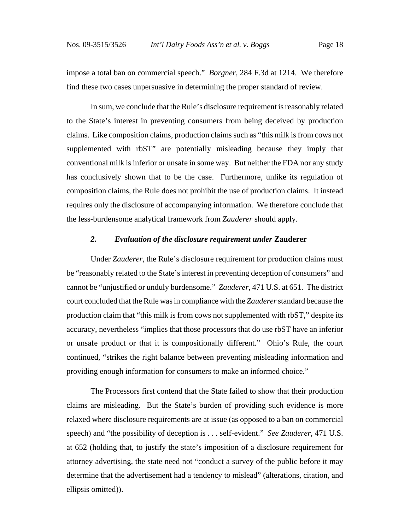impose a total ban on commercial speech." *Borgner*, 284 F.3d at 1214. We therefore find these two cases unpersuasive in determining the proper standard of review.

In sum, we conclude that the Rule's disclosure requirement is reasonably related to the State's interest in preventing consumers from being deceived by production claims. Like composition claims, production claims such as "this milk is from cows not supplemented with rbST" are potentially misleading because they imply that conventional milk is inferior or unsafe in some way. But neither the FDA nor any study has conclusively shown that to be the case. Furthermore, unlike its regulation of composition claims, the Rule does not prohibit the use of production claims. It instead requires only the disclosure of accompanying information. We therefore conclude that the less-burdensome analytical framework from *Zauderer* should apply.

## *2. Evaluation of the disclosure requirement under* **Zauderer**

Under *Zauderer*, the Rule's disclosure requirement for production claims must be "reasonably related to the State's interest in preventing deception of consumers" and cannot be "unjustified or unduly burdensome." *Zauderer*, 471 U.S. at 651. The district court concluded that the Rule was in compliance with the *Zauderer* standard because the production claim that "this milk is from cows not supplemented with rbST," despite its accuracy, nevertheless "implies that those processors that do use rbST have an inferior or unsafe product or that it is compositionally different." Ohio's Rule, the court continued, "strikes the right balance between preventing misleading information and providing enough information for consumers to make an informed choice."

The Processors first contend that the State failed to show that their production claims are misleading. But the State's burden of providing such evidence is more relaxed where disclosure requirements are at issue (as opposed to a ban on commercial speech) and "the possibility of deception is . . . self-evident." *See Zauderer*, 471 U.S. at 652 (holding that, to justify the state's imposition of a disclosure requirement for attorney advertising, the state need not "conduct a survey of the public before it may determine that the advertisement had a tendency to mislead" (alterations, citation, and ellipsis omitted)).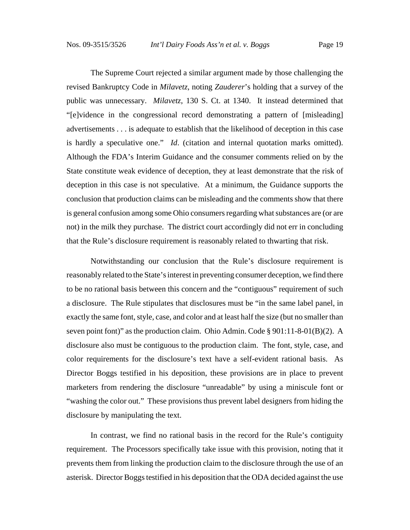The Supreme Court rejected a similar argument made by those challenging the revised Bankruptcy Code in *Milavetz*, noting *Zauderer*'s holding that a survey of the public was unnecessary. *Milavetz*, 130 S. Ct. at 1340. It instead determined that "[e]vidence in the congressional record demonstrating a pattern of [misleading] advertisements . . . is adequate to establish that the likelihood of deception in this case is hardly a speculative one." *Id*. (citation and internal quotation marks omitted). Although the FDA's Interim Guidance and the consumer comments relied on by the State constitute weak evidence of deception, they at least demonstrate that the risk of deception in this case is not speculative. At a minimum, the Guidance supports the conclusion that production claims can be misleading and the comments show that there is general confusion among some Ohio consumers regarding what substances are (or are not) in the milk they purchase. The district court accordingly did not err in concluding that the Rule's disclosure requirement is reasonably related to thwarting that risk.

Notwithstanding our conclusion that the Rule's disclosure requirement is reasonably related to the State's interest in preventing consumer deception, we find there to be no rational basis between this concern and the "contiguous" requirement of such a disclosure. The Rule stipulates that disclosures must be "in the same label panel, in exactly the same font, style, case, and color and at least half the size (but no smaller than seven point font)" as the production claim. Ohio Admin. Code § 901:11-8-01(B)(2). A disclosure also must be contiguous to the production claim. The font, style, case, and color requirements for the disclosure's text have a self-evident rational basis. As Director Boggs testified in his deposition, these provisions are in place to prevent marketers from rendering the disclosure "unreadable" by using a miniscule font or "washing the color out." These provisions thus prevent label designers from hiding the disclosure by manipulating the text.

In contrast, we find no rational basis in the record for the Rule's contiguity requirement. The Processors specifically take issue with this provision, noting that it prevents them from linking the production claim to the disclosure through the use of an asterisk. Director Boggs testified in his deposition that the ODA decided against the use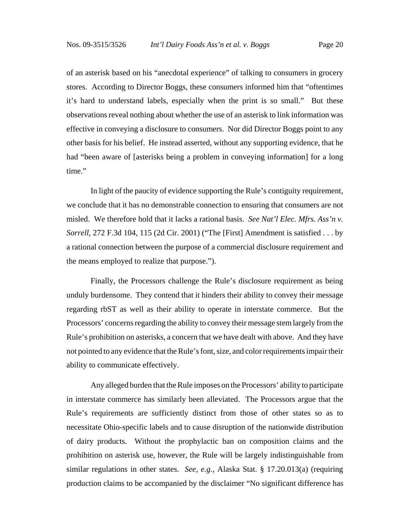of an asterisk based on his "anecdotal experience" of talking to consumers in grocery stores. According to Director Boggs, these consumers informed him that "oftentimes it's hard to understand labels, especially when the print is so small." But these observations reveal nothing about whether the use of an asterisk to link information was effective in conveying a disclosure to consumers. Nor did Director Boggs point to any other basis for his belief. He instead asserted, without any supporting evidence, that he had "been aware of [asterisks being a problem in conveying information] for a long time."

In light of the paucity of evidence supporting the Rule's contiguity requirement, we conclude that it has no demonstrable connection to ensuring that consumers are not misled. We therefore hold that it lacks a rational basis. *See Nat'l Elec. Mfrs. Ass'n v. Sorrell*, 272 F.3d 104, 115 (2d Cir. 2001) ("The [First] Amendment is satisfied . . . by a rational connection between the purpose of a commercial disclosure requirement and the means employed to realize that purpose.").

Finally, the Processors challenge the Rule's disclosure requirement as being unduly burdensome. They contend that it hinders their ability to convey their message regarding rbST as well as their ability to operate in interstate commerce. But the Processors' concerns regarding the ability to convey their message stem largely from the Rule's prohibition on asterisks, a concern that we have dealt with above. And they have not pointed to any evidence that the Rule's font, size, and color requirements impair their ability to communicate effectively.

Any alleged burden that the Rule imposes on the Processors' ability to participate in interstate commerce has similarly been alleviated. The Processors argue that the Rule's requirements are sufficiently distinct from those of other states so as to necessitate Ohio-specific labels and to cause disruption of the nationwide distribution of dairy products. Without the prophylactic ban on composition claims and the prohibition on asterisk use, however, the Rule will be largely indistinguishable from similar regulations in other states. *See, e.g.*, Alaska Stat. § 17.20.013(a) (requiring production claims to be accompanied by the disclaimer "No significant difference has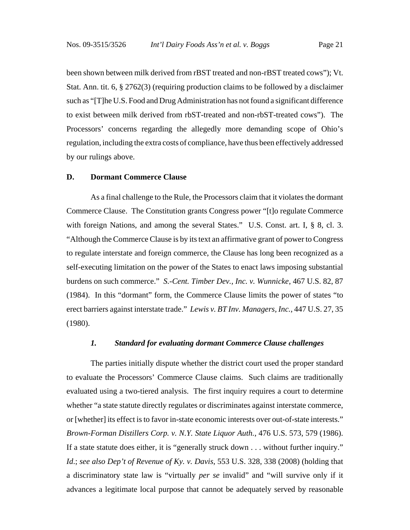been shown between milk derived from rBST treated and non-rBST treated cows"); Vt. Stat. Ann. tit. 6, § 2762(3) (requiring production claims to be followed by a disclaimer such as "[T]he U.S. Food and Drug Administration has not found a significant difference to exist between milk derived from rbST-treated and non-rbST-treated cows"). The Processors' concerns regarding the allegedly more demanding scope of Ohio's regulation, including the extra costs of compliance, have thus been effectively addressed by our rulings above.

#### **D. Dormant Commerce Clause**

As a final challenge to the Rule, the Processors claim that it violates the dormant Commerce Clause. The Constitution grants Congress power "[t]o regulate Commerce with foreign Nations, and among the several States." U.S. Const. art. I, § 8, cl. 3. "Although the Commerce Clause is by its text an affirmative grant of power to Congress to regulate interstate and foreign commerce, the Clause has long been recognized as a self-executing limitation on the power of the States to enact laws imposing substantial burdens on such commerce." *S.-Cent. Timber Dev., Inc. v. Wunnicke*, 467 U.S. 82, 87 (1984). In this "dormant" form, the Commerce Clause limits the power of states "to erect barriers against interstate trade." *Lewis v. BT Inv. Managers, Inc.*, 447 U.S. 27, 35 (1980).

#### *1. Standard for evaluating dormant Commerce Clause challenges*

The parties initially dispute whether the district court used the proper standard to evaluate the Processors' Commerce Clause claims. Such claims are traditionally evaluated using a two-tiered analysis. The first inquiry requires a court to determine whether "a state statute directly regulates or discriminates against interstate commerce, or [whether] its effect is to favor in-state economic interests over out-of-state interests." *Brown-Forman Distillers Corp. v. N.Y. State Liquor Auth.*, 476 U.S. 573, 579 (1986). If a state statute does either, it is "generally struck down . . . without further inquiry." *Id*.; *see also Dep't of Revenue of Ky. v. Davis*, 553 U.S. 328, 338 (2008) (holding that a discriminatory state law is "virtually *per se* invalid" and "will survive only if it advances a legitimate local purpose that cannot be adequately served by reasonable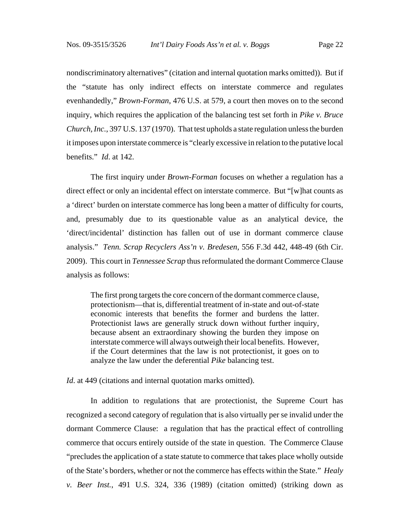nondiscriminatory alternatives" (citation and internal quotation marks omitted)). But if the "statute has only indirect effects on interstate commerce and regulates evenhandedly," *Brown-Forman*, 476 U.S. at 579, a court then moves on to the second inquiry, which requires the application of the balancing test set forth in *Pike v. Bruce Church, Inc.*, 397 U.S. 137 (1970). That test upholds a state regulation unless the burden it imposes upon interstate commerce is "clearly excessive in relation to the putative local benefits." *Id*. at 142.

The first inquiry under *Brown-Forman* focuses on whether a regulation has a direct effect or only an incidental effect on interstate commerce. But "[w]hat counts as a 'direct' burden on interstate commerce has long been a matter of difficulty for courts, and, presumably due to its questionable value as an analytical device, the 'direct/incidental' distinction has fallen out of use in dormant commerce clause analysis." *Tenn. Scrap Recyclers Ass'n v. Bredesen*, 556 F.3d 442, 448-49 (6th Cir. 2009). This court in *Tennessee Scrap* thus reformulated the dormant Commerce Clause analysis as follows:

The first prong targets the core concern of the dormant commerce clause, protectionism—that is, differential treatment of in-state and out-of-state economic interests that benefits the former and burdens the latter. Protectionist laws are generally struck down without further inquiry, because absent an extraordinary showing the burden they impose on interstate commerce will always outweigh their local benefits. However, if the Court determines that the law is not protectionist, it goes on to analyze the law under the deferential *Pike* balancing test.

*Id.* at 449 (citations and internal quotation marks omitted).

In addition to regulations that are protectionist, the Supreme Court has recognized a second category of regulation that is also virtually per se invalid under the dormant Commerce Clause: a regulation that has the practical effect of controlling commerce that occurs entirely outside of the state in question. The Commerce Clause "precludes the application of a state statute to commerce that takes place wholly outside of the State's borders, whether or not the commerce has effects within the State." *Healy v. Beer Inst.*, 491 U.S. 324, 336 (1989) (citation omitted) (striking down as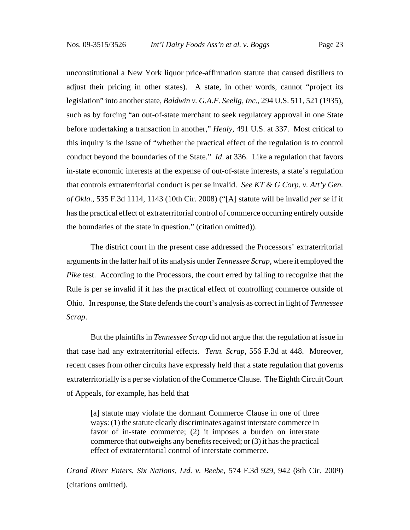unconstitutional a New York liquor price-affirmation statute that caused distillers to adjust their pricing in other states). A state, in other words, cannot "project its legislation" into another state, *Baldwin v. G.A.F. Seelig, Inc.*, 294 U.S. 511, 521 (1935), such as by forcing "an out-of-state merchant to seek regulatory approval in one State before undertaking a transaction in another," *Healy*, 491 U.S. at 337. Most critical to this inquiry is the issue of "whether the practical effect of the regulation is to control conduct beyond the boundaries of the State." *Id*. at 336. Like a regulation that favors in-state economic interests at the expense of out-of-state interests, a state's regulation that controls extraterritorial conduct is per se invalid. *See KT & G Corp. v. Att'y Gen. of Okla.*, 535 F.3d 1114, 1143 (10th Cir. 2008) ("[A] statute will be invalid *per se* if it has the practical effect of extraterritorial control of commerce occurring entirely outside the boundaries of the state in question." (citation omitted)).

The district court in the present case addressed the Processors' extraterritorial arguments in the latter half of its analysis under *Tennessee Scrap*, where it employed the *Pike* test. According to the Processors, the court erred by failing to recognize that the Rule is per se invalid if it has the practical effect of controlling commerce outside of Ohio. In response, the State defends the court's analysis as correct in light of *Tennessee Scrap*.

But the plaintiffs in *Tennessee Scrap* did not argue that the regulation at issue in that case had any extraterritorial effects. *Tenn. Scrap*, 556 F.3d at 448. Moreover, recent cases from other circuits have expressly held that a state regulation that governs extraterritorially is a per se violation of the Commerce Clause. The Eighth Circuit Court of Appeals, for example, has held that

[a] statute may violate the dormant Commerce Clause in one of three ways: (1) the statute clearly discriminates against interstate commerce in favor of in-state commerce; (2) it imposes a burden on interstate commerce that outweighs any benefits received; or (3) it has the practical effect of extraterritorial control of interstate commerce.

*Grand River Enters. Six Nations, Ltd. v. Beebe*, 574 F.3d 929, 942 (8th Cir. 2009) (citations omitted).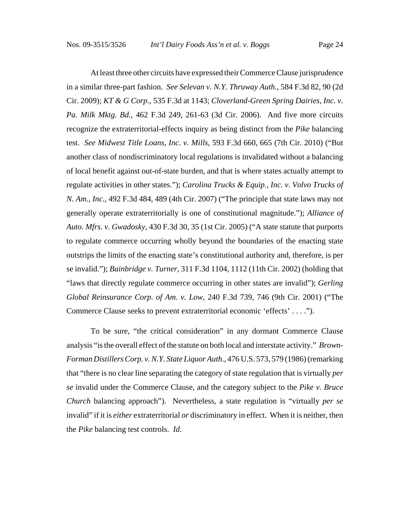At least three other circuits have expressed their Commerce Clause jurisprudence in a similar three-part fashion. *See Selevan v. N.Y. Thruway Auth.*, 584 F.3d 82, 90 (2d Cir. 2009); *KT & G Corp.*, 535 F.3d at 1143; *Cloverland-Green Spring Dairies, Inc. v. Pa. Milk Mktg. Bd.*, 462 F.3d 249, 261-63 (3d Cir. 2006). And five more circuits recognize the extraterritorial-effects inquiry as being distinct from the *Pike* balancing test. *See Midwest Title Loans, Inc. v. Mills*, 593 F.3d 660, 665 (7th Cir. 2010) ("But another class of nondiscriminatory local regulations is invalidated without a balancing of local benefit against out-of-state burden, and that is where states actually attempt to regulate activities in other states."); *Carolina Trucks & Equip., Inc. v. Volvo Trucks of N. Am., Inc.*, 492 F.3d 484, 489 (4th Cir. 2007) ("The principle that state laws may not generally operate extraterritorially is one of constitutional magnitude."); *Alliance of Auto. Mfrs. v. Gwadosky*, 430 F.3d 30, 35 (1st Cir. 2005) ("A state statute that purports to regulate commerce occurring wholly beyond the boundaries of the enacting state outstrips the limits of the enacting state's constitutional authority and, therefore, is per se invalid."); *Bainbridge v. Turner*, 311 F.3d 1104, 1112 (11th Cir. 2002) (holding that "laws that directly regulate commerce occurring in other states are invalid"); *Gerling Global Reinsurance Corp. of Am. v. Low*, 240 F.3d 739, 746 (9th Cir. 2001) ("The Commerce Clause seeks to prevent extraterritorial economic 'effects' . . . .").

To be sure, "the critical consideration" in any dormant Commerce Clause analysis "is the overall effect of the statute on both local and interstate activity." *Brown-Forman Distillers Corp. v. N.Y. State Liquor Auth.*, 476 U.S. 573, 579 (1986) (remarking that "there is no clear line separating the category of state regulation that is virtually *per se* invalid under the Commerce Clause, and the category subject to the *Pike v. Bruce Church* balancing approach"). Nevertheless, a state regulation is "virtually *per se* invalid" if it is *either* extraterritorial *or* discriminatory in effect. When it is neither, then the *Pike* balancing test controls. *Id.*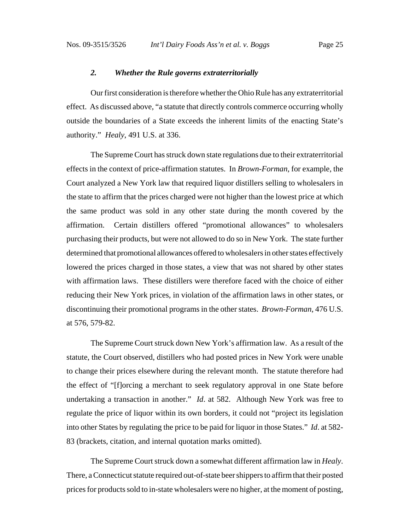#### *2. Whether the Rule governs extraterritorially*

Our first consideration is therefore whether the Ohio Rule has any extraterritorial effect. As discussed above, "a statute that directly controls commerce occurring wholly outside the boundaries of a State exceeds the inherent limits of the enacting State's authority." *Healy*, 491 U.S. at 336.

The Supreme Court has struck down state regulations due to their extraterritorial effects in the context of price-affirmation statutes. In *Brown-Forman*, for example, the Court analyzed a New York law that required liquor distillers selling to wholesalers in the state to affirm that the prices charged were not higher than the lowest price at which the same product was sold in any other state during the month covered by the affirmation. Certain distillers offered "promotional allowances" to wholesalers purchasing their products, but were not allowed to do so in New York. The state further determined that promotional allowances offered to wholesalers in other states effectively lowered the prices charged in those states, a view that was not shared by other states with affirmation laws. These distillers were therefore faced with the choice of either reducing their New York prices, in violation of the affirmation laws in other states, or discontinuing their promotional programs in the other states. *Brown-Forman*, 476 U.S. at 576, 579-82.

The Supreme Court struck down New York's affirmation law. As a result of the statute, the Court observed, distillers who had posted prices in New York were unable to change their prices elsewhere during the relevant month. The statute therefore had the effect of "[f]orcing a merchant to seek regulatory approval in one State before undertaking a transaction in another." *Id*. at 582. Although New York was free to regulate the price of liquor within its own borders, it could not "project its legislation into other States by regulating the price to be paid for liquor in those States." *Id*. at 582- 83 (brackets, citation, and internal quotation marks omitted).

The Supreme Court struck down a somewhat different affirmation law in *Healy*. There, a Connecticut statute required out-of-state beer shippers to affirm that their posted prices for products sold to in-state wholesalers were no higher, at the moment of posting,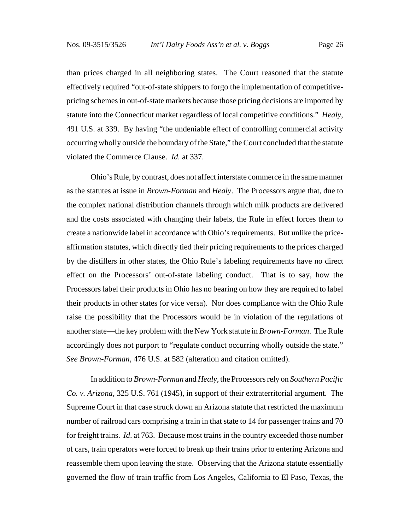than prices charged in all neighboring states. The Court reasoned that the statute effectively required "out-of-state shippers to forgo the implementation of competitivepricing schemes in out-of-state markets because those pricing decisions are imported by statute into the Connecticut market regardless of local competitive conditions." *Healy*, 491 U.S. at 339. By having "the undeniable effect of controlling commercial activity occurring wholly outside the boundary of the State," the Court concluded that the statute violated the Commerce Clause. *Id.* at 337.

Ohio's Rule, by contrast, does not affect interstate commerce in the same manner as the statutes at issue in *Brown-Forman* and *Healy*. The Processors argue that, due to the complex national distribution channels through which milk products are delivered and the costs associated with changing their labels, the Rule in effect forces them to create a nationwide label in accordance with Ohio's requirements. But unlike the priceaffirmation statutes, which directly tied their pricing requirements to the prices charged by the distillers in other states, the Ohio Rule's labeling requirements have no direct effect on the Processors' out-of-state labeling conduct. That is to say, how the Processors label their products in Ohio has no bearing on how they are required to label their products in other states (or vice versa). Nor does compliance with the Ohio Rule raise the possibility that the Processors would be in violation of the regulations of another state—the key problem with the New York statute in *Brown-Forman*. The Rule accordingly does not purport to "regulate conduct occurring wholly outside the state." *See Brown-Forman*, 476 U.S. at 582 (alteration and citation omitted).

In addition to *Brown-Forman* and *Healy*, the Processors rely on *Southern Pacific Co. v. Arizona*, 325 U.S. 761 (1945), in support of their extraterritorial argument. The Supreme Court in that case struck down an Arizona statute that restricted the maximum number of railroad cars comprising a train in that state to 14 for passenger trains and 70 for freight trains. *Id*. at 763. Because most trains in the country exceeded those number of cars, train operators were forced to break up their trains prior to entering Arizona and reassemble them upon leaving the state. Observing that the Arizona statute essentially governed the flow of train traffic from Los Angeles, California to El Paso, Texas, the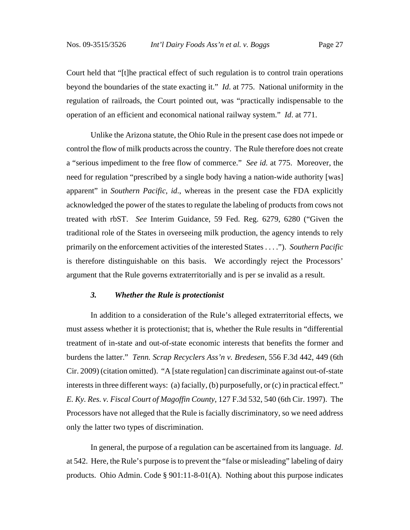Court held that "[t]he practical effect of such regulation is to control train operations beyond the boundaries of the state exacting it." *Id*. at 775. National uniformity in the regulation of railroads, the Court pointed out, was "practically indispensable to the operation of an efficient and economical national railway system." *Id*. at 771.

Unlike the Arizona statute, the Ohio Rule in the present case does not impede or control the flow of milk products across the country. The Rule therefore does not create a "serious impediment to the free flow of commerce." *See id.* at 775. Moreover, the need for regulation "prescribed by a single body having a nation-wide authority [was] apparent" in *Southern Pacific*, *id*., whereas in the present case the FDA explicitly acknowledged the power of the states to regulate the labeling of products from cows not treated with rbST. *See* Interim Guidance, 59 Fed. Reg. 6279, 6280 ("Given the traditional role of the States in overseeing milk production, the agency intends to rely primarily on the enforcement activities of the interested States . . . ."). *Southern Pacific* is therefore distinguishable on this basis. We accordingly reject the Processors' argument that the Rule governs extraterritorially and is per se invalid as a result.

#### *3. Whether the Rule is protectionist*

In addition to a consideration of the Rule's alleged extraterritorial effects, we must assess whether it is protectionist; that is, whether the Rule results in "differential treatment of in-state and out-of-state economic interests that benefits the former and burdens the latter." *Tenn. Scrap Recyclers Ass'n v. Bredesen*, 556 F.3d 442, 449 (6th Cir. 2009) (citation omitted). "A [state regulation] can discriminate against out-of-state interests in three different ways: (a) facially, (b) purposefully, or (c) in practical effect." *E. Ky. Res. v. Fiscal Court of Magoffin County*, 127 F.3d 532, 540 (6th Cir. 1997). The Processors have not alleged that the Rule is facially discriminatory, so we need address only the latter two types of discrimination.

In general, the purpose of a regulation can be ascertained from its language. *Id*. at 542. Here, the Rule's purpose is to prevent the "false or misleading" labeling of dairy products. Ohio Admin. Code § 901:11-8-01(A). Nothing about this purpose indicates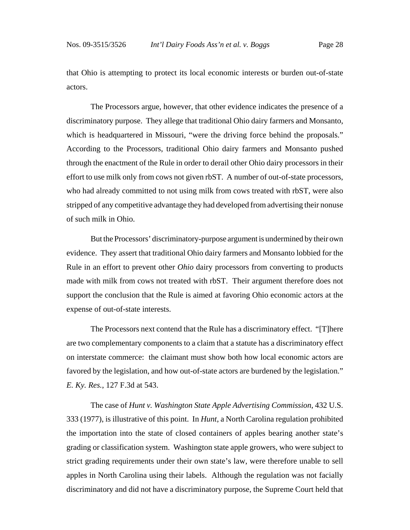that Ohio is attempting to protect its local economic interests or burden out-of-state actors.

The Processors argue, however, that other evidence indicates the presence of a discriminatory purpose. They allege that traditional Ohio dairy farmers and Monsanto, which is headquartered in Missouri, "were the driving force behind the proposals." According to the Processors, traditional Ohio dairy farmers and Monsanto pushed through the enactment of the Rule in order to derail other Ohio dairy processors in their effort to use milk only from cows not given rbST. A number of out-of-state processors, who had already committed to not using milk from cows treated with rbST, were also stripped of any competitive advantage they had developed from advertising their nonuse of such milk in Ohio.

But the Processors' discriminatory-purpose argument is undermined by their own evidence. They assert that traditional Ohio dairy farmers and Monsanto lobbied for the Rule in an effort to prevent other *Ohio* dairy processors from converting to products made with milk from cows not treated with rbST. Their argument therefore does not support the conclusion that the Rule is aimed at favoring Ohio economic actors at the expense of out-of-state interests.

The Processors next contend that the Rule has a discriminatory effect. "[T]here are two complementary components to a claim that a statute has a discriminatory effect on interstate commerce: the claimant must show both how local economic actors are favored by the legislation, and how out-of-state actors are burdened by the legislation." *E. Ky. Res.*, 127 F.3d at 543.

The case of *Hunt v. Washington State Apple Advertising Commission*, 432 U.S. 333 (1977), is illustrative of this point. In *Hunt*, a North Carolina regulation prohibited the importation into the state of closed containers of apples bearing another state's grading or classification system. Washington state apple growers, who were subject to strict grading requirements under their own state's law, were therefore unable to sell apples in North Carolina using their labels. Although the regulation was not facially discriminatory and did not have a discriminatory purpose, the Supreme Court held that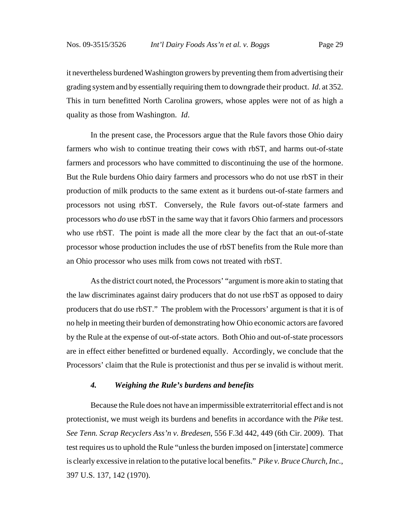it nevertheless burdened Washington growers by preventing them from advertising their grading system and by essentially requiring them to downgrade their product. *Id*. at 352. This in turn benefitted North Carolina growers, whose apples were not of as high a quality as those from Washington. *Id*.

In the present case, the Processors argue that the Rule favors those Ohio dairy farmers who wish to continue treating their cows with rbST, and harms out-of-state farmers and processors who have committed to discontinuing the use of the hormone. But the Rule burdens Ohio dairy farmers and processors who do not use rbST in their production of milk products to the same extent as it burdens out-of-state farmers and processors not using rbST. Conversely, the Rule favors out-of-state farmers and processors who *do* use rbST in the same way that it favors Ohio farmers and processors who use rbST. The point is made all the more clear by the fact that an out-of-state processor whose production includes the use of rbST benefits from the Rule more than an Ohio processor who uses milk from cows not treated with rbST.

As the district court noted, the Processors' "argument is more akin to stating that the law discriminates against dairy producers that do not use rbST as opposed to dairy producers that do use rbST." The problem with the Processors' argument is that it is of no help in meeting their burden of demonstrating how Ohio economic actors are favored by the Rule at the expense of out-of-state actors. Both Ohio and out-of-state processors are in effect either benefitted or burdened equally. Accordingly, we conclude that the Processors' claim that the Rule is protectionist and thus per se invalid is without merit.

#### *4. Weighing the Rule's burdens and benefits*

Because the Rule does not have an impermissible extraterritorial effect and is not protectionist, we must weigh its burdens and benefits in accordance with the *Pike* test. *See Tenn. Scrap Recyclers Ass'n v. Bredesen*, 556 F.3d 442, 449 (6th Cir. 2009). That test requires us to uphold the Rule "unless the burden imposed on [interstate] commerce is clearly excessive in relation to the putative local benefits." *Pike v. Bruce Church, Inc.*, 397 U.S. 137, 142 (1970).